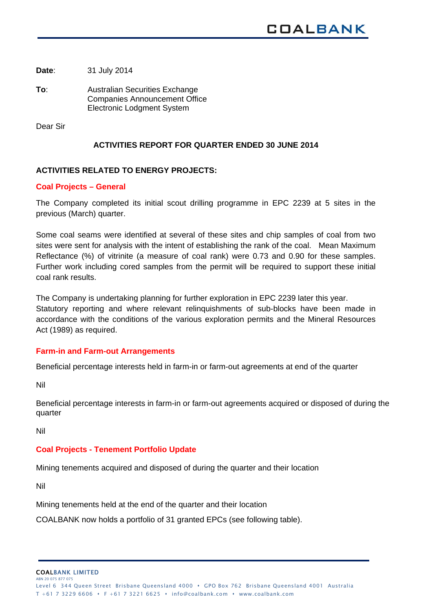**Date**: 31 July 2014

**To**: Australian Securities Exchange Companies Announcement Office Electronic Lodgment System

Dear Sir

# **ACTIVITIES REPORT FOR QUARTER ENDED 30 JUNE 2014**

# **ACTIVITIES RELATED TO ENERGY PROJECTS:**

## **Coal Projects – General**

The Company completed its initial scout drilling programme in EPC 2239 at 5 sites in the previous (March) quarter.

Some coal seams were identified at several of these sites and chip samples of coal from two sites were sent for analysis with the intent of establishing the rank of the coal. Mean Maximum Reflectance (%) of vitrinite (a measure of coal rank) were 0.73 and 0.90 for these samples. Further work including cored samples from the permit will be required to support these initial coal rank results.

The Company is undertaking planning for further exploration in EPC 2239 later this year.

Statutory reporting and where relevant relinquishments of sub-blocks have been made in accordance with the conditions of the various exploration permits and the Mineral Resources Act (1989) as required.

### **Farm-in and Farm-out Arrangements**

Beneficial percentage interests held in farm-in or farm-out agreements at end of the quarter

Nil

Beneficial percentage interests in farm-in or farm-out agreements acquired or disposed of during the quarter

Nil

# **Coal Projects - Tenement Portfolio Update**

Mining tenements acquired and disposed of during the quarter and their location

Nil

Mining tenements held at the end of the quarter and their location

COALBANK now holds a portfolio of 31 granted EPCs (see following table).

COALBANK LIMITED ABN 20 075 877 07